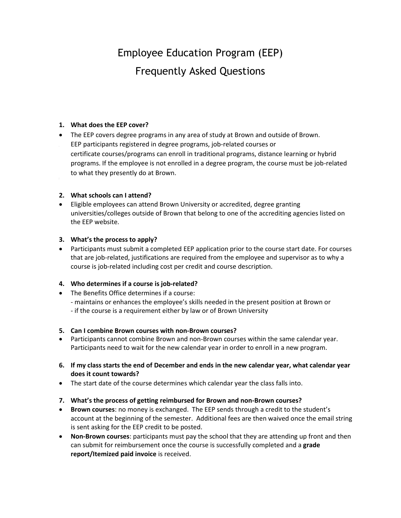# Employee Education Program (EEP) Frequently Asked Questions

#### **1. What does the EEP cover?**

- The EEP covers degree programs in any area of study at Brown and outside of Brown.
- EEP participants registered in degree programs, job-related courses or certificate courses/programs can enroll in traditional programs, distance learning or hybrid programs. If the employee is not enrolled in a degree program, the course must be job-related to what they presently do at Brown.

#### **2. What schools can I attend?**

 Eligible employees can attend Brown University or accredited, degree granting universities/colleges outside of Brown that belong to one of the accrediting agencies listed on the EEP website.

#### **3. What's the process to apply?**

 Participants must submit a completed EEP application prior to the course start date. For courses that are job-related, justifications are required from the employee and supervisor as to why a course is job-related including cost per credit and course description.

## **4. Who determines if a course is job-related?**

- The Benefits Office determines if a course:
	- maintains or enhances the employee's skills needed in the present position at Brown or
	- if the course is a requirement either by law or of Brown University

#### **5. Can I combine Brown courses with non-Brown courses?**

- Participants cannot combine Brown and non-Brown courses within the same calendar year. Participants need to wait for the new calendar year in order to enroll in a new program.
- **6. If my class starts the end of December and ends in the new calendar year, what calendar year does it count towards?**
- The start date of the course determines which calendar year the class falls into.
- **7. What's the process of getting reimbursed for Brown and non-Brown courses?**
- **Brown courses**: no money is exchanged. The EEP sends through a credit to the student's account at the beginning of the semester. Additional fees are then waived once the email string is sent asking for the EEP credit to be posted.
- **Non-Brown courses**: participants must pay the school that they are attending up front and then can submit for reimbursement once the course is successfully completed and a **grade report/Itemized paid invoice** is received.